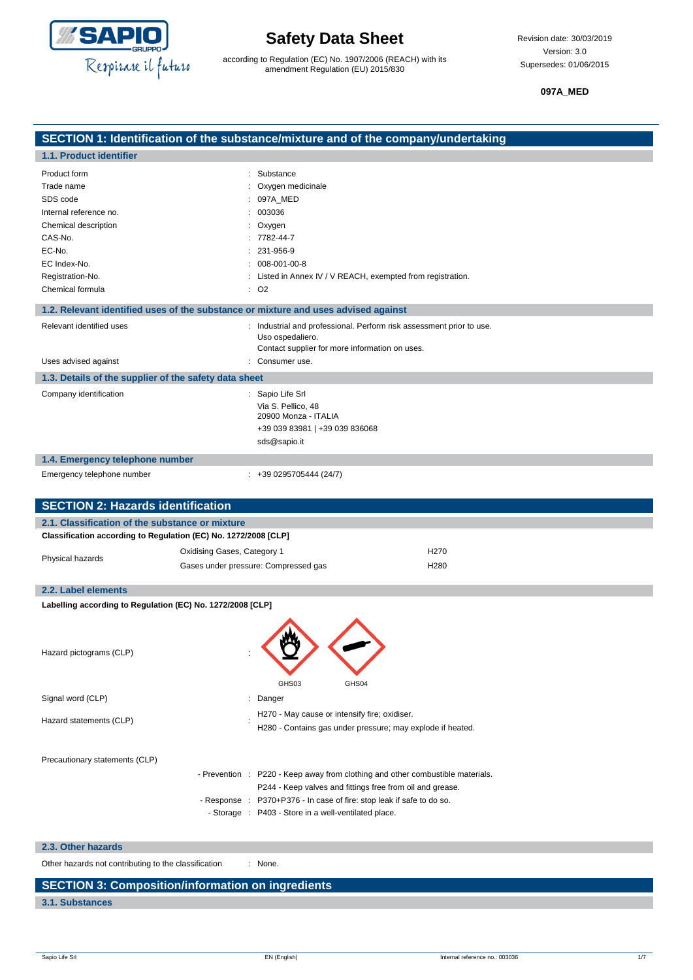

according to Regulation (EC) No. 1907/2006 (REACH) with its amendment Regulation (EU) 2015/830

**097A\_MED**

|                                                                 |                             | SECTION 1: Identification of the substance/mixture and of the company/undertaking                                                          |                  |
|-----------------------------------------------------------------|-----------------------------|--------------------------------------------------------------------------------------------------------------------------------------------|------------------|
| 1.1. Product identifier                                         |                             |                                                                                                                                            |                  |
| Product form                                                    |                             | : Substance                                                                                                                                |                  |
| Trade name                                                      |                             | : Oxygen medicinale                                                                                                                        |                  |
| SDS code                                                        |                             | 097A_MED                                                                                                                                   |                  |
| Internal reference no.                                          |                             | 003036                                                                                                                                     |                  |
| Chemical description                                            |                             | Oxygen                                                                                                                                     |                  |
| CAS-No.<br>EC-No.                                               |                             | 7782-44-7<br>$: 231 - 956 - 9$                                                                                                             |                  |
| EC Index-No.                                                    |                             | $: 008 - 001 - 00 - 8$                                                                                                                     |                  |
| Registration-No.                                                |                             | Listed in Annex IV / V REACH, exempted from registration.                                                                                  |                  |
| Chemical formula                                                |                             | : 02                                                                                                                                       |                  |
|                                                                 |                             | 1.2. Relevant identified uses of the substance or mixture and uses advised against                                                         |                  |
| Relevant identified uses                                        |                             |                                                                                                                                            |                  |
|                                                                 |                             | : Industrial and professional. Perform risk assessment prior to use.<br>Uso ospedaliero.<br>Contact supplier for more information on uses. |                  |
| Uses advised against                                            |                             | : Consumer use.                                                                                                                            |                  |
| 1.3. Details of the supplier of the safety data sheet           |                             |                                                                                                                                            |                  |
| Company identification                                          |                             | : Sapio Life Srl                                                                                                                           |                  |
|                                                                 |                             | Via S. Pellico, 48<br>20900 Monza - ITALIA                                                                                                 |                  |
|                                                                 |                             | +39 039 83981   +39 039 836068                                                                                                             |                  |
|                                                                 |                             | sds@sapio.it                                                                                                                               |                  |
| 1.4. Emergency telephone number                                 |                             |                                                                                                                                            |                  |
| Emergency telephone number                                      |                             | $: +390295705444(24/7)$                                                                                                                    |                  |
|                                                                 |                             |                                                                                                                                            |                  |
| <b>SECTION 2: Hazards identification</b>                        |                             |                                                                                                                                            |                  |
| 2.1. Classification of the substance or mixture                 |                             |                                                                                                                                            |                  |
| Classification according to Regulation (EC) No. 1272/2008 [CLP] |                             |                                                                                                                                            |                  |
|                                                                 | Oxidising Gases, Category 1 |                                                                                                                                            | H <sub>270</sub> |
| Physical hazards                                                |                             | Gases under pressure: Compressed gas                                                                                                       | H <sub>280</sub> |
|                                                                 |                             |                                                                                                                                            |                  |
| 2.2. Label elements                                             |                             |                                                                                                                                            |                  |
| Labelling according to Regulation (EC) No. 1272/2008 [CLP]      |                             |                                                                                                                                            |                  |
|                                                                 |                             |                                                                                                                                            |                  |
| Hazard pictograms (CLP)                                         |                             |                                                                                                                                            |                  |
|                                                                 |                             |                                                                                                                                            |                  |
|                                                                 |                             |                                                                                                                                            |                  |
|                                                                 |                             |                                                                                                                                            |                  |
|                                                                 |                             | GHS03<br>GHS04                                                                                                                             |                  |
| Signal word (CLP)                                               |                             | : Danger                                                                                                                                   |                  |
| Hazard statements (CLP)                                         |                             | H270 - May cause or intensify fire; oxidiser.                                                                                              |                  |
|                                                                 |                             | H280 - Contains gas under pressure; may explode if heated.                                                                                 |                  |
|                                                                 |                             |                                                                                                                                            |                  |
| Precautionary statements (CLP)                                  |                             |                                                                                                                                            |                  |
|                                                                 |                             | - Prevention : P220 - Keep away from clothing and other combustible materials.                                                             |                  |
|                                                                 |                             | P244 - Keep valves and fittings free from oil and grease.                                                                                  |                  |
|                                                                 | - Response :                | P370+P376 - In case of fire: stop leak if safe to do so.                                                                                   |                  |
|                                                                 |                             | - Storage : P403 - Store in a well-ventilated place.                                                                                       |                  |
| 2.3. Other hazards                                              |                             |                                                                                                                                            |                  |

Other hazards not contributing to the classification : None.

### **SECTION 3: Composition/information on ingredients**

### **3.1. Substances**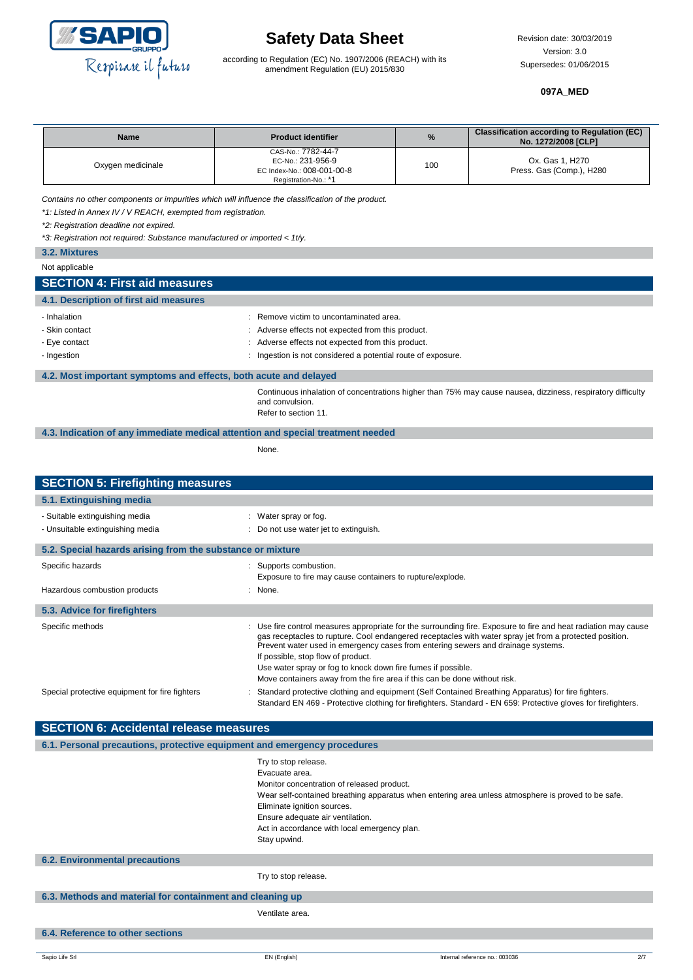

according to Regulation (EC) No. 1907/2006 (REACH) with its amendment Regulation (EU) 2015/830

#### **097A\_MED**

| <b>Name</b>       | <b>Product identifier</b>                                                                     | $\%$ | <b>Classification according to Regulation (EC)</b><br>No. 1272/2008 [CLP] |
|-------------------|-----------------------------------------------------------------------------------------------|------|---------------------------------------------------------------------------|
| Oxygen medicinale | CAS-No.: 7782-44-7<br>EC-No.: 231-956-9<br>EC Index-No.: 008-001-00-8<br>Registration-No.: *1 | 100  | Ox. Gas 1, H270<br>Press. Gas (Comp.), H280                               |

*Contains no other components or impurities which will influence the classification of the product.*

*\*1: Listed in Annex IV / V REACH, exempted from registration.*

*\*2: Registration deadline not expired.*

*\*3: Registration not required: Substance manufactured or imported < 1t/y.*

| 3.2. Mixtures                          |                                                   |  |
|----------------------------------------|---------------------------------------------------|--|
| Not applicable                         |                                                   |  |
| <b>SECTION 4: First aid measures</b>   |                                                   |  |
| 4.1. Description of first aid measures |                                                   |  |
| - Inhalation                           | : Remove victim to uncontaminated area.           |  |
| - Skin contact                         | : Adverse effects not expected from this product. |  |
| - Eye contact                          | : Adverse effects not expected from this product. |  |

- Ingestion is not considered a potential route of exposure.

#### **4.2. Most important symptoms and effects, both acute and delayed**

Continuous inhalation of concentrations higher than 75% may cause nausea, dizziness, respiratory difficulty and convulsion. Refer to section 11.

**4.3. Indication of any immediate medical attention and special treatment needed**

None.

| <b>SECTION 5: Firefighting measures</b>                    |                                                                                                                                                                                                                                                                                                                                                      |
|------------------------------------------------------------|------------------------------------------------------------------------------------------------------------------------------------------------------------------------------------------------------------------------------------------------------------------------------------------------------------------------------------------------------|
| 5.1. Extinguishing media                                   |                                                                                                                                                                                                                                                                                                                                                      |
| - Suitable extinguishing media                             | : Water spray or fog.                                                                                                                                                                                                                                                                                                                                |
| - Unsuitable extinguishing media                           | : Do not use water jet to extinguish.                                                                                                                                                                                                                                                                                                                |
| 5.2. Special hazards arising from the substance or mixture |                                                                                                                                                                                                                                                                                                                                                      |
| Specific hazards                                           | Supports combustion.<br>Exposure to fire may cause containers to rupture/explode.                                                                                                                                                                                                                                                                    |
| Hazardous combustion products                              | : None.                                                                                                                                                                                                                                                                                                                                              |
| 5.3. Advice for firefighters                               |                                                                                                                                                                                                                                                                                                                                                      |
| Specific methods                                           | : Use fire control measures appropriate for the surrounding fire. Exposure to fire and heat radiation may cause<br>gas receptacles to rupture. Cool endangered receptacles with water spray jet from a protected position.<br>Prevent water used in emergency cases from entering sewers and drainage systems.<br>If possible, stop flow of product. |
|                                                            | Use water spray or fog to knock down fire fumes if possible.<br>Move containers away from the fire area if this can be done without risk.                                                                                                                                                                                                            |
| Special protective equipment for fire fighters             | Standard protective clothing and equipment (Self Contained Breathing Apparatus) for fire fighters.<br>Standard EN 469 - Protective clothing for firefighters. Standard - EN 659: Protective gloves for firefighters.                                                                                                                                 |

| <b>SECTION 6: Accidental release measures</b>                            |                                                                                                                                                                                                                         |                                                                                                    |     |
|--------------------------------------------------------------------------|-------------------------------------------------------------------------------------------------------------------------------------------------------------------------------------------------------------------------|----------------------------------------------------------------------------------------------------|-----|
| 6.1. Personal precautions, protective equipment and emergency procedures |                                                                                                                                                                                                                         |                                                                                                    |     |
|                                                                          | Try to stop release.<br>Evacuate area.<br>Monitor concentration of released product.<br>Eliminate ignition sources.<br>Ensure adequate air ventilation.<br>Act in accordance with local emergency plan.<br>Stay upwind. | Wear self-contained breathing apparatus when entering area unless atmosphere is proved to be safe. |     |
| <b>6.2. Environmental precautions</b>                                    |                                                                                                                                                                                                                         |                                                                                                    |     |
|                                                                          | Try to stop release.                                                                                                                                                                                                    |                                                                                                    |     |
| 6.3. Methods and material for containment and cleaning up                |                                                                                                                                                                                                                         |                                                                                                    |     |
|                                                                          | Ventilate area.                                                                                                                                                                                                         |                                                                                                    |     |
| 6.4. Reference to other sections                                         |                                                                                                                                                                                                                         |                                                                                                    |     |
|                                                                          |                                                                                                                                                                                                                         |                                                                                                    |     |
| Sapio Life Srl                                                           | EN (English)                                                                                                                                                                                                            | Internal reference no.: 003036                                                                     | 2/7 |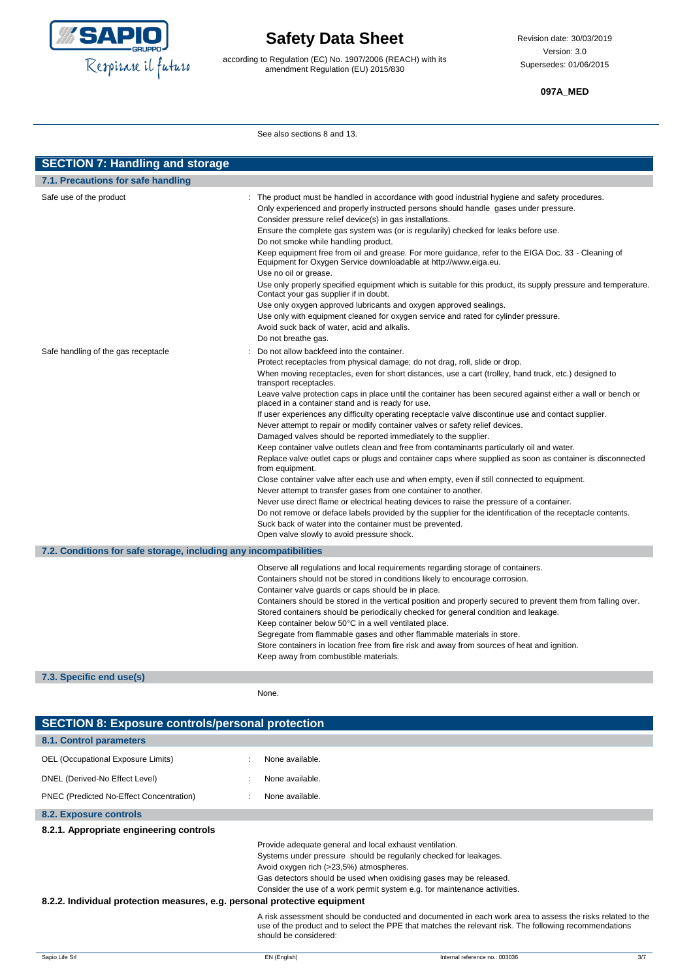

according to Regulation (EC) No. 1907/2006 (REACH) with its amendment Regulation (EU) 2015/830

### **097A\_MED**

See also sections 8 and 13.

| <b>SECTION 7: Handling and storage</b>                            |                                                                                                                                                                                                                                                                                                                                                                                                                                                                                                                                                                                                                                                                                                                                                                                                                                                                                                                                                                                                                                                                                                                                                                                                                                                                                                                                                                                                                                    |  |  |
|-------------------------------------------------------------------|------------------------------------------------------------------------------------------------------------------------------------------------------------------------------------------------------------------------------------------------------------------------------------------------------------------------------------------------------------------------------------------------------------------------------------------------------------------------------------------------------------------------------------------------------------------------------------------------------------------------------------------------------------------------------------------------------------------------------------------------------------------------------------------------------------------------------------------------------------------------------------------------------------------------------------------------------------------------------------------------------------------------------------------------------------------------------------------------------------------------------------------------------------------------------------------------------------------------------------------------------------------------------------------------------------------------------------------------------------------------------------------------------------------------------------|--|--|
| 7.1. Precautions for safe handling                                |                                                                                                                                                                                                                                                                                                                                                                                                                                                                                                                                                                                                                                                                                                                                                                                                                                                                                                                                                                                                                                                                                                                                                                                                                                                                                                                                                                                                                                    |  |  |
| Safe use of the product                                           | : The product must be handled in accordance with good industrial hygiene and safety procedures.<br>Only experienced and properly instructed persons should handle gases under pressure.<br>Consider pressure relief device(s) in gas installations.<br>Ensure the complete gas system was (or is regularily) checked for leaks before use.<br>Do not smoke while handling product.<br>Keep equipment free from oil and grease. For more guidance, refer to the EIGA Doc. 33 - Cleaning of<br>Equipment for Oxygen Service downloadable at http://www.eiga.eu.<br>Use no oil or grease.<br>Use only properly specified equipment which is suitable for this product, its supply pressure and temperature.<br>Contact your gas supplier if in doubt.<br>Use only oxygen approved lubricants and oxygen approved sealings.<br>Use only with equipment cleaned for oxygen service and rated for cylinder pressure.<br>Avoid suck back of water, acid and alkalis.                                                                                                                                                                                                                                                                                                                                                                                                                                                                      |  |  |
| Safe handling of the gas receptacle                               | Do not breathe gas.<br>Do not allow backfeed into the container.<br>Protect receptacles from physical damage; do not drag, roll, slide or drop.<br>When moving receptacles, even for short distances, use a cart (trolley, hand truck, etc.) designed to<br>transport receptacles.<br>Leave valve protection caps in place until the container has been secured against either a wall or bench or<br>placed in a container stand and is ready for use.<br>If user experiences any difficulty operating receptacle valve discontinue use and contact supplier.<br>Never attempt to repair or modify container valves or safety relief devices.<br>Damaged valves should be reported immediately to the supplier.<br>Keep container valve outlets clean and free from contaminants particularly oil and water.<br>Replace valve outlet caps or plugs and container caps where supplied as soon as container is disconnected<br>from equipment.<br>Close container valve after each use and when empty, even if still connected to equipment.<br>Never attempt to transfer gases from one container to another.<br>Never use direct flame or electrical heating devices to raise the pressure of a container.<br>Do not remove or deface labels provided by the supplier for the identification of the receptacle contents.<br>Suck back of water into the container must be prevented.<br>Open valve slowly to avoid pressure shock. |  |  |
| 7.2. Conditions for safe storage, including any incompatibilities |                                                                                                                                                                                                                                                                                                                                                                                                                                                                                                                                                                                                                                                                                                                                                                                                                                                                                                                                                                                                                                                                                                                                                                                                                                                                                                                                                                                                                                    |  |  |
| 7.3. Specific end use(s)                                          | Observe all regulations and local requirements regarding storage of containers.<br>Containers should not be stored in conditions likely to encourage corrosion.<br>Container valve guards or caps should be in place.<br>Containers should be stored in the vertical position and properly secured to prevent them from falling over.<br>Stored containers should be periodically checked for general condition and leakage.<br>Keep container below 50°C in a well ventilated place.<br>Segregate from flammable gases and other flammable materials in store.<br>Store containers in location free from fire risk and away from sources of heat and ignition.<br>Keep away from combustible materials.                                                                                                                                                                                                                                                                                                                                                                                                                                                                                                                                                                                                                                                                                                                           |  |  |

None.

| <b>SECTION 8: Exposure controls/personal protection</b>                   |                                         |                                                                                                                                                                                                                                                                                 |     |
|---------------------------------------------------------------------------|-----------------------------------------|---------------------------------------------------------------------------------------------------------------------------------------------------------------------------------------------------------------------------------------------------------------------------------|-----|
| 8.1. Control parameters                                                   |                                         |                                                                                                                                                                                                                                                                                 |     |
| OEL (Occupational Exposure Limits)                                        | None available.                         |                                                                                                                                                                                                                                                                                 |     |
| DNEL (Derived-No Effect Level)                                            | None available.                         |                                                                                                                                                                                                                                                                                 |     |
| PNEC (Predicted No-Effect Concentration)                                  | None available.                         |                                                                                                                                                                                                                                                                                 |     |
| 8.2. Exposure controls                                                    |                                         |                                                                                                                                                                                                                                                                                 |     |
| 8.2.1. Appropriate engineering controls                                   |                                         |                                                                                                                                                                                                                                                                                 |     |
| 8.2.2. Individual protection measures, e.g. personal protective equipment | Avoid oxygen rich (>23,5%) atmospheres. | Provide adequate general and local exhaust ventilation.<br>Systems under pressure should be regularily checked for leakages.<br>Gas detectors should be used when oxidising gases may be released.<br>Consider the use of a work permit system e.g. for maintenance activities. |     |
|                                                                           | should be considered:                   | A risk assessment should be conducted and documented in each work area to assess the risks related to the<br>use of the product and to select the PPE that matches the relevant risk. The following recommendations                                                             |     |
| Sapio Life Srl                                                            | EN (English)                            | Internal reference no.: 003036                                                                                                                                                                                                                                                  | 3/7 |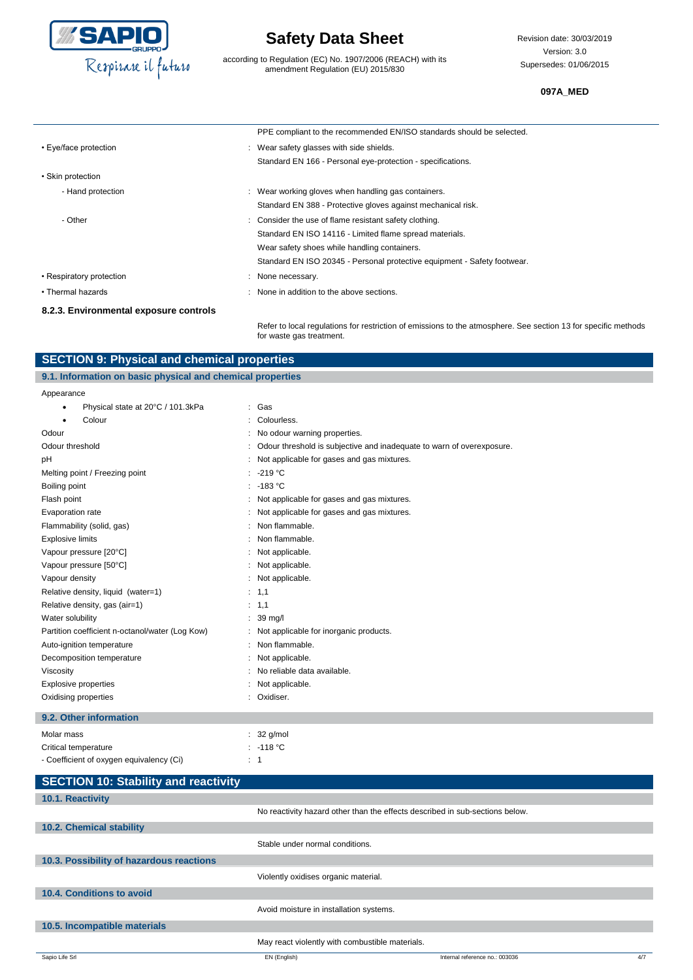

according to Regulation (EC) No. 1907/2006 (REACH) with its amendment Regulation (EU) 2015/830

Revision date: 30/03/2019 Version: 3.0 Supersedes: 01/06/2015

#### **097A\_MED**

|                                        | PPE compliant to the recommended EN/ISO standards should be selected.    |
|----------------------------------------|--------------------------------------------------------------------------|
| • Eye/face protection                  | : Wear safety glasses with side shields.                                 |
|                                        | Standard EN 166 - Personal eye-protection - specifications.              |
| • Skin protection                      |                                                                          |
| - Hand protection                      | Wear working gloves when handling gas containers.                        |
|                                        | Standard EN 388 - Protective gloves against mechanical risk.             |
| - Other                                | : Consider the use of flame resistant safety clothing.                   |
|                                        | Standard EN ISO 14116 - Limited flame spread materials.                  |
|                                        | Wear safety shoes while handling containers.                             |
|                                        | Standard EN ISO 20345 - Personal protective equipment - Safety footwear. |
| • Respiratory protection               | : None necessary.                                                        |
| • Thermal hazards                      | : None in addition to the above sections.                                |
| 8.2.3. Environmental exposure controls |                                                                          |

Refer to local regulations for restriction of emissions to the atmosphere. See section 13 for specific methods for waste gas treatment.

### **SECTION 9: Physical and chemical properties**

### **9.1. Information on basic physical and chemical properties**

| Appearance                                      |                                                                       |
|-------------------------------------------------|-----------------------------------------------------------------------|
| Physical state at 20°C / 101.3kPa               | : Gas                                                                 |
| Colour                                          | Colourless.                                                           |
| Odour                                           | : No odour warning properties.                                        |
| Odour threshold                                 | Odour threshold is subjective and inadequate to warn of overexposure. |
| pH                                              | : Not applicable for gases and gas mixtures.                          |
| Melting point / Freezing point                  | $-219 °C$                                                             |
| Boiling point                                   | $: -183 °C$                                                           |
| Flash point                                     | : Not applicable for gases and gas mixtures.                          |
| Evaporation rate                                | : Not applicable for gases and gas mixtures.                          |
| Flammability (solid, gas)                       | Non flammable.                                                        |
| <b>Explosive limits</b>                         | Non flammable.                                                        |
| Vapour pressure [20°C]                          | : Not applicable.                                                     |
| Vapour pressure [50°C]                          | : Not applicable.                                                     |
| Vapour density                                  | : Not applicable.                                                     |
| Relative density, liquid (water=1)              | : 1,1                                                                 |
| Relative density, gas (air=1)                   | : 1,1                                                                 |
| Water solubility                                | $: 39 \text{ mg/l}$                                                   |
| Partition coefficient n-octanol/water (Log Kow) | : Not applicable for inorganic products.                              |
| Auto-ignition temperature                       | : Non flammable.                                                      |
| Decomposition temperature                       | : Not applicable.                                                     |
| Viscosity                                       | No reliable data available.                                           |
| <b>Explosive properties</b>                     | Not applicable.                                                       |
| Oxidising properties                            | Oxidiser.<br>۰.                                                       |
|                                                 |                                                                       |

### **9.2. Other information**

| Molar mass                               | $: 32$ g/mol          |
|------------------------------------------|-----------------------|
| Critical temperature                     | $\therefore$ -118 °C. |
| - Coefficient of oxygen equivalency (Ci) | $\therefore$ 1        |

| <b>SECTION 10: Stability and reactivity</b> |                                                                              |                                |     |
|---------------------------------------------|------------------------------------------------------------------------------|--------------------------------|-----|
| 10.1. Reactivity                            |                                                                              |                                |     |
|                                             | No reactivity hazard other than the effects described in sub-sections below. |                                |     |
| 10.2. Chemical stability                    |                                                                              |                                |     |
|                                             | Stable under normal conditions.                                              |                                |     |
| 10.3. Possibility of hazardous reactions    |                                                                              |                                |     |
|                                             | Violently oxidises organic material.                                         |                                |     |
| 10.4. Conditions to avoid                   |                                                                              |                                |     |
|                                             | Avoid moisture in installation systems.                                      |                                |     |
| 10.5. Incompatible materials                |                                                                              |                                |     |
|                                             | May react violently with combustible materials.                              |                                |     |
| Sapio Life Srl                              | EN (English)                                                                 | Internal reference no.: 003036 | 4/7 |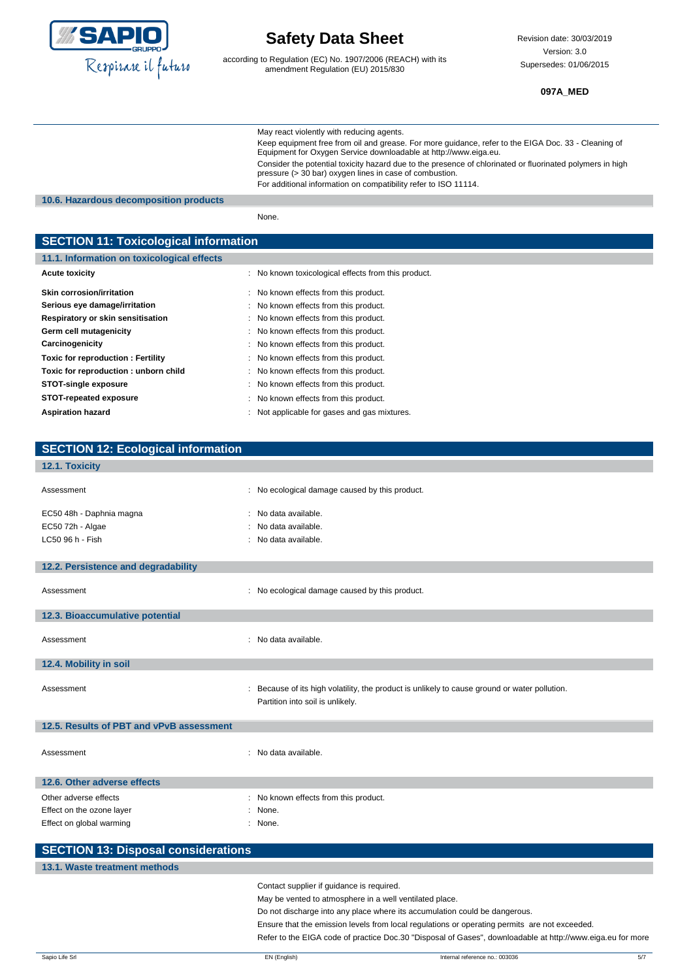

according to Regulation (EC) No. 1907/2006 (REACH) with its amendment Regulation (EU) 2015/830

**097A\_MED**

|                                                                                   | May react violently with reducing agents.<br>Keep equipment free from oil and grease. For more guidance, refer to the EIGA Doc. 33 - Cleaning of                            |
|-----------------------------------------------------------------------------------|-----------------------------------------------------------------------------------------------------------------------------------------------------------------------------|
|                                                                                   | Equipment for Oxygen Service downloadable at http://www.eiga.eu.                                                                                                            |
|                                                                                   | Consider the potential toxicity hazard due to the presence of chlorinated or fluorinated polymers in high<br>pressure (> 30 bar) oxygen lines in case of combustion.        |
| 10.6. Hazardous decomposition products                                            | For additional information on compatibility refer to ISO 11114.                                                                                                             |
|                                                                                   | None.                                                                                                                                                                       |
|                                                                                   |                                                                                                                                                                             |
| <b>SECTION 11: Toxicological information</b>                                      |                                                                                                                                                                             |
| 11.1. Information on toxicological effects<br><b>Acute toxicity</b>               | : No known toxicological effects from this product.                                                                                                                         |
|                                                                                   |                                                                                                                                                                             |
| <b>Skin corrosion/irritation</b><br>Serious eye damage/irritation                 | No known effects from this product.<br>: No known effects from this product.                                                                                                |
| Respiratory or skin sensitisation                                                 | No known effects from this product.                                                                                                                                         |
| Germ cell mutagenicity                                                            | No known effects from this product.                                                                                                                                         |
| Carcinogenicity                                                                   | No known effects from this product.                                                                                                                                         |
| <b>Toxic for reproduction: Fertility</b><br>Toxic for reproduction : unborn child | No known effects from this product.<br>No known effects from this product.                                                                                                  |
| <b>STOT-single exposure</b>                                                       | No known effects from this product.                                                                                                                                         |
| <b>STOT-repeated exposure</b>                                                     | No known effects from this product.                                                                                                                                         |
| <b>Aspiration hazard</b>                                                          | Not applicable for gases and gas mixtures.                                                                                                                                  |
|                                                                                   |                                                                                                                                                                             |
| <b>SECTION 12: Ecological information</b>                                         |                                                                                                                                                                             |
| 12.1. Toxicity                                                                    |                                                                                                                                                                             |
| Assessment                                                                        | : No ecological damage caused by this product.                                                                                                                              |
| EC50 48h - Daphnia magna                                                          | No data available.                                                                                                                                                          |
| EC50 72h - Algae                                                                  | No data available.                                                                                                                                                          |
| LC50 96 h - Fish                                                                  | : No data available.                                                                                                                                                        |
| 12.2. Persistence and degradability                                               |                                                                                                                                                                             |
| Assessment                                                                        | : No ecological damage caused by this product.                                                                                                                              |
| 12.3. Bioaccumulative potential                                                   |                                                                                                                                                                             |
| Assessment                                                                        | : No data available.                                                                                                                                                        |
| 12.4. Mobility in soil                                                            |                                                                                                                                                                             |
| Assessment                                                                        | : Because of its high volatility, the product is unlikely to cause ground or water pollution.<br>Partition into soil is unlikely.                                           |
| 12.5. Results of PBT and vPvB assessment                                          |                                                                                                                                                                             |
| Assessment                                                                        | : No data available.                                                                                                                                                        |
| 12.6. Other adverse effects                                                       |                                                                                                                                                                             |
| Other adverse effects                                                             | : No known effects from this product.                                                                                                                                       |
| Effect on the ozone layer                                                         | : None.                                                                                                                                                                     |
| Effect on global warming                                                          | : None.                                                                                                                                                                     |
| <b>SECTION 13: Disposal considerations</b>                                        |                                                                                                                                                                             |
| 13.1. Waste treatment methods                                                     |                                                                                                                                                                             |
|                                                                                   | Contact supplier if guidance is required.                                                                                                                                   |
|                                                                                   | May be vented to atmosphere in a well ventilated place.                                                                                                                     |
|                                                                                   | Do not discharge into any place where its accumulation could be dangerous.<br>Ensure that the emission levels from local regulations or operating permits are not exceeded. |
|                                                                                   | Refer to the EIGA code of practice Doc.30 "Disposal of Gases", downloadable at http://www.eiga.eu for more                                                                  |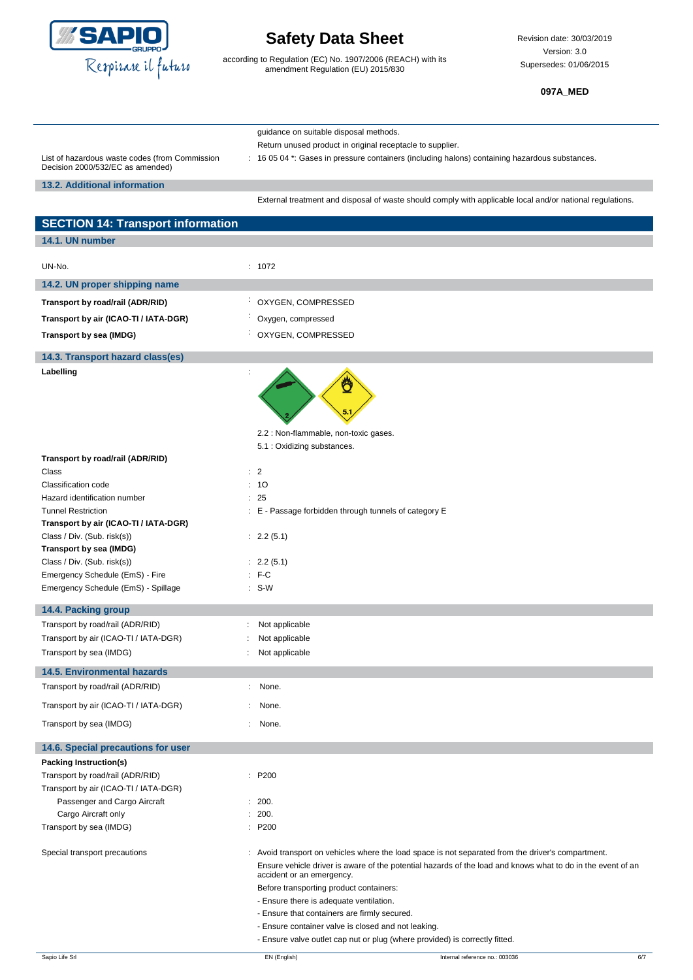

according to Regulation (EC) No. 1907/2006 (REACH) with its amendment Regulation (EU) 2015/830

Revision date: 30/03/2019 Version: 3.0 Supersedes: 01/06/2015

**097A\_MED**

|                                                                                    | quidance on suitable disposal methods.                                                                    |
|------------------------------------------------------------------------------------|-----------------------------------------------------------------------------------------------------------|
|                                                                                    | Return unused product in original receptacle to supplier.                                                 |
| List of hazardous waste codes (from Commission<br>Decision 2000/532/EC as amended) | : 16 05 04 *: Gases in pressure containers (including halons) containing hazardous substances.            |
| 13.2. Additional information                                                       |                                                                                                           |
|                                                                                    | External treatment and disposal of waste should comply with applicable local and/or national regulations. |
| <b>SECTION 14: Transport information</b>                                           |                                                                                                           |

| <b>OLOTION 14. Hansport Information</b>                    |                                                                                                             |
|------------------------------------------------------------|-------------------------------------------------------------------------------------------------------------|
| 14.1. UN number                                            |                                                                                                             |
| UN-No.                                                     | : 1072                                                                                                      |
| 14.2. UN proper shipping name                              |                                                                                                             |
| Transport by road/rail (ADR/RID)                           | ÷<br>OXYGEN, COMPRESSED                                                                                     |
| Transport by air (ICAO-TI / IATA-DGR)                      | Oxygen, compressed                                                                                          |
| Transport by sea (IMDG)                                    | OXYGEN, COMPRESSED                                                                                          |
| 14.3. Transport hazard class(es)                           |                                                                                                             |
| Labelling                                                  |                                                                                                             |
|                                                            |                                                                                                             |
|                                                            | 2.2 : Non-flammable, non-toxic gases.                                                                       |
| Transport by road/rail (ADR/RID)                           | 5.1 : Oxidizing substances.                                                                                 |
| Class                                                      | $\therefore$ 2                                                                                              |
| Classification code                                        | : 10                                                                                                        |
| Hazard identification number                               | : 25                                                                                                        |
| <b>Tunnel Restriction</b>                                  | : E - Passage forbidden through tunnels of category E                                                       |
| Transport by air (ICAO-TI / IATA-DGR)                      |                                                                                                             |
| Class / Div. (Sub. risk(s))<br>Transport by sea (IMDG)     | : 2.2(5.1)                                                                                                  |
| Class / Div. (Sub. risk(s))                                | : 2.2(5.1)                                                                                                  |
| Emergency Schedule (EmS) - Fire                            | $:$ F-C                                                                                                     |
| Emergency Schedule (EmS) - Spillage                        | $: S-W$                                                                                                     |
| 14.4. Packing group                                        |                                                                                                             |
| Transport by road/rail (ADR/RID)                           | Not applicable                                                                                              |
| Transport by air (ICAO-TI / IATA-DGR)                      | Not applicable                                                                                              |
| Transport by sea (IMDG)                                    | Not applicable                                                                                              |
| <b>14.5. Environmental hazards</b>                         |                                                                                                             |
| Transport by road/rail (ADR/RID)                           | None.<br>$\ddot{\phantom{0}}$                                                                               |
| Transport by air (ICAO-TI / IATA-DGR)                      | None.                                                                                                       |
| Transport by sea (IMDG)                                    | None.<br>÷                                                                                                  |
|                                                            |                                                                                                             |
| 14.6. Special precautions for user                         |                                                                                                             |
| Packing Instruction(s)<br>Transport by road/rail (ADR/RID) | : P200                                                                                                      |
| Transport by air (ICAO-TI / IATA-DGR)                      |                                                                                                             |
| Passenger and Cargo Aircraft                               | : 200.                                                                                                      |
| Cargo Aircraft only                                        | : 200.                                                                                                      |
| Transport by sea (IMDG)                                    | : P200                                                                                                      |
| Special transport precautions                              | : Avoid transport on vehicles where the load space is not separated from the driver's compartment.          |
|                                                            | Ensure vehicle driver is aware of the potential hazards of the load and knows what to do in the event of an |
|                                                            | accident or an emergency.                                                                                   |
|                                                            | Before transporting product containers:                                                                     |
|                                                            | - Ensure there is adequate ventilation.                                                                     |
|                                                            | - Ensure that containers are firmly secured.                                                                |
|                                                            | - Ensure container valve is closed and not leaking.                                                         |
|                                                            | - Ensure valve outlet cap nut or plug (where provided) is correctly fitted.                                 |